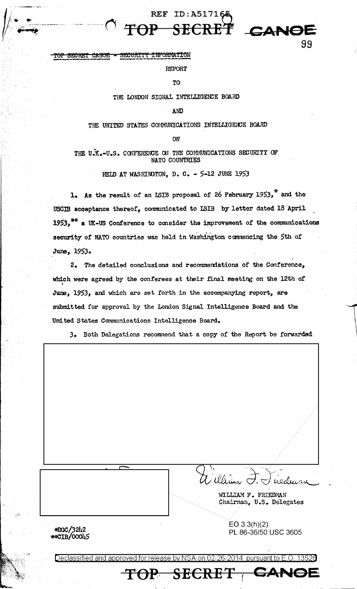#### SECURITY INFORMATION <del>CANOR</del> <del>SRARN</del>

**REPORT** 

REF ID: A517165

SECRET

CANOE

99

TO

#### THE LONDON SIGNAL INTELLIGENCE BOARD

AND

#### THE UNITED STATES COMMUNICATIONS INTELLIGENCE BOARD

ON

THE U.K.-U.S. CONFERENCE ON THE COMMUNICATIONS SECURITY OF NATO COUNTRIES

HELD AT WASHINGTON, D. C. - 5-12 JUNE 1953

1. As the result of an ISIB proposal of 26 February 1953,<sup>\*</sup> and the USCIB acceptance thereof, communicated to ISIB by letter dated 18 April 1953,<sup>\*\*</sup> a UK-US Conference to consider the improvement of the communications security of NATO countries was held in Washington commencing the 5th of June, 1953.

2. The detailed conclusions and recommendations of the Conference, which were agreed by the conferees at their final meeting on the 12th of June, 1953, and which are set forth in the accompanying report, are submitted for approval by the London Signal Intelligence Board and the United States Communications Intelligence Board.

3. Both Delegations recommend that a copy of the Report be forwarded

William G wedura WILLIAM F. FRIEDMAN Chairman, U.S. Delegates  $EO 3.3(h)(2)$ PL 86-36/50 USC 3605

<del>CANOI</del>

eclassified and approved f release by

TOP SECRET

**\*DGC/3242<br>\*\*CIB/00045**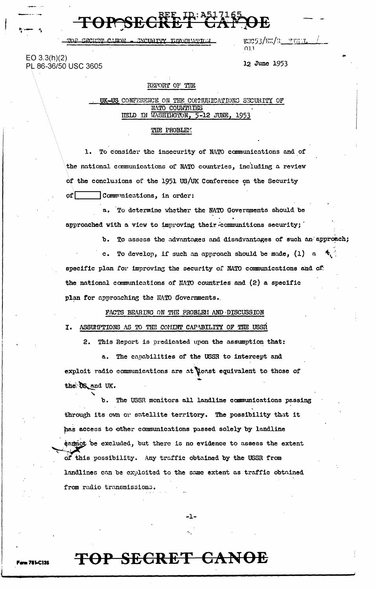<u>SRCDED TEANOR</u> **AVAID TIME** המדינות לאומצות

**OPESEC** 

 $EO 3.3(h)(2)$ PL 86-36/50 USC 3605 rsc93/ex/n<u>\_\_finlil</u> ו המ

12 June 1953

#### REPORT OF THE

UK-US CONFERENCE ON THE COMMUNICATIONS SECURITY OF NATO COUNTRIES HELD IN WASHINGTON, 5-12 JUNE, 1953

#### THE PROBLEM:

1. To consider the insecurity of NATO communications and of the national communications of NATO countries, including a review of the conclusions of the 1951 US/UK Conference on the Security ofΓ Communications, in order:

a. To determine whether the NATO Governments should be approached with a view to improving their communitions security;

b. To assess the advantages and disadvantages of such an approach;

c. To develop, if such an approach should be made, (1) a specific plan for improving the security of NATO communications and of the national communications of NATO countries and (2) a specific plan for approaching the NATO Governments.

FACTS BEARING ON THE PROBLEM AND DISCUSSION

#### I. ASSUPTIONS AS TO THE CONINT CAPABILITY OF THE USSA

2. This Report is predicated upon the assumption that:

a. The capabilities of the USSR to intercept and exploit radio communications are at least equivalent to those of the US and UK.

b. The USSR monitors all landline communications passing through its own or satellite territory. The possibility that it has access to other communications passed solely by landline cannot be excluded, but there is no evidence to assess the extent of this possibility. Any traffic obtained by the USSR from landlines can be exploited to the same extent as traffic obtained from radio transmissions.

-1-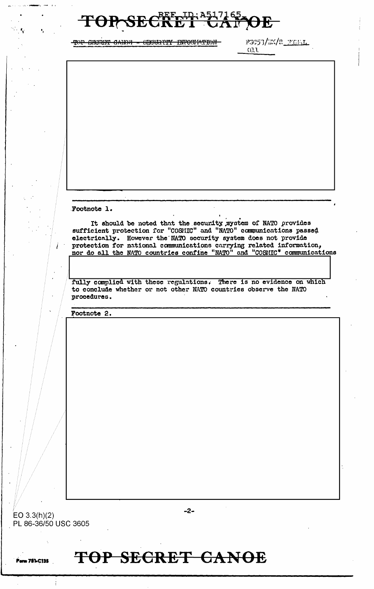

TOP SHORF CANOR - SECURITY INFORMATION

FGC53/EX/R\_FILE  $0.11$ 

Footnote 1.

It should be noted that the security system of NATO provides sufficient protection for "COSMIC" and "NATO" communications passed electrically. However the NATO security system does not provide protection for national communications carrying related information, nor do all the NATO countries confine "NATO" and "COSMIC" communications

fully complied with these regulations. There is no evidence on which to conclude whether or not other NATO countries observe the NATO procedures.

Footnote 2.

 $-2-$ 

EO  $3.3(h)(2)$ PL 86-36/50 USC 3605

**Perm 781-C135**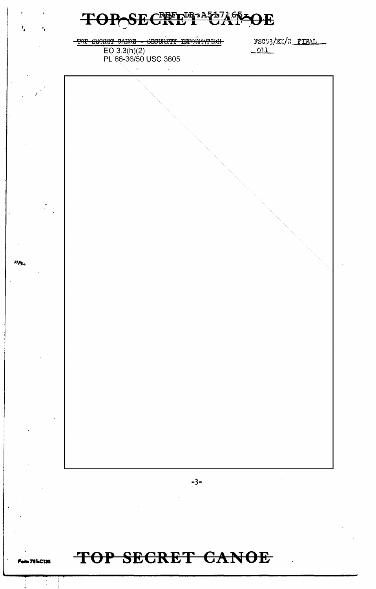

TOP CHORET CARGE - CECURITY INFORMATION

 $EQ$  3.3(h)(2) PL 86-36/50 USC 3605 FSC53/EX/R\_FINAL  $-011$ 



### TOP SECRET CANOE

 $\mathcal{H}_{\mathbf{A}_1}$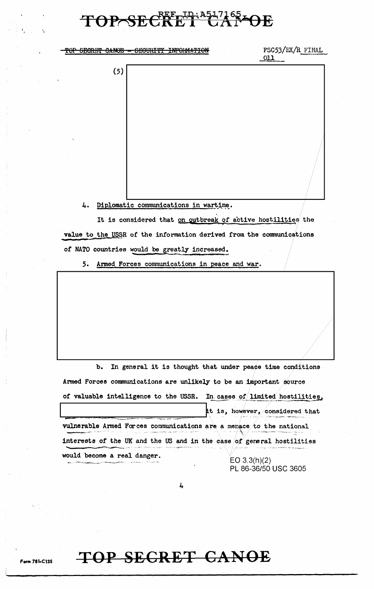## TOP SECRET CAPPE

TOP SECRET CANOE - SECURITY INFORMATION

FSC53/EX/R FINAL  $011$ 

 $(5)$ 

4. Diplomatic communications in wartime.

It is considered that on outbreak of active hostilities the value to the USSR of the information derived from the communications of NATO countries would be greatly increased.

5. Armed Forces communications in peace and war.

b. In general it is thought that under peace time conditions Armed Forces communications are unlikely to be an important source of valuable intelligence to the USSR. In cases of limited hostilities, it is, however, considered that vulnerable Armed Forces communications are a menace to the national interests of the UK and the US and in the case of general hostilities would become a real danger. EO  $3.3(h)(2)$ PL 86-36/50 USC 3605

L.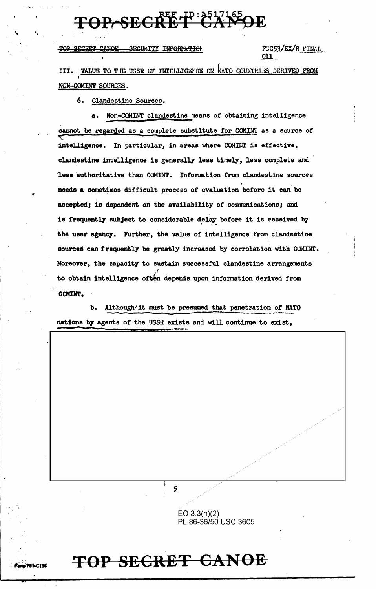# TOP-SECRET CANDE

TOP SECRET CANOE **SECURITY INFORMATION** 

FCC53/EX/R FINAL  $_{\text{OLL}}$ 

III. VALUE TO THE USSR OF INTELLIGENCE ON NATO COUNTRIES DERIVED FROM NON-COMINT SOURCES.

6. Clandestine Sources.

Non-COMINT clandestine means of obtaining intelligence a. cannot be regarded as a complete substitute for COMINT as a source of intelligence. In particular, in areas where COMINT is effective, clandestine intelligence is generally less timely, less complete and less authoritative than COMINT. Information from clandestine sources needs a sometimes difficult process of evaluation before it can be accepted; is dependent on the availability of communications; and is frequently subject to considerable delay before it is received by the user agency. Further, the value of intelligence from clandestine sources can frequently be greatly increased by correlation with COMINT. Moreover, the capacity to sustain successful clandestine arrangements to obtain intelligence often depends upon information derived from COMINT.

b. Although/it must be presumed that penetration of NATO nations by agents of the USSR exists and will continue to exist,

5

EO  $3.3(h)(2)$ PL 86-36/50 USC 3605

## TOP SECRET CANOE

 $.71$ LC135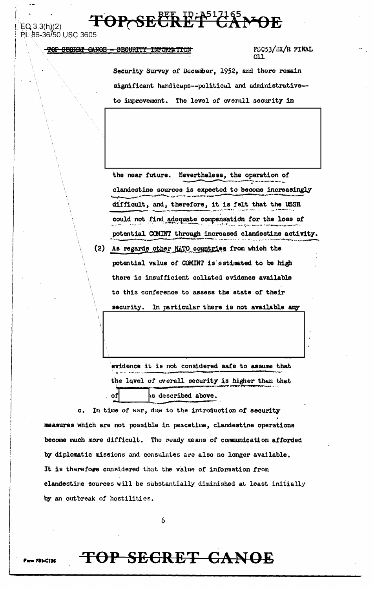### TOP SECRET CAMPE

 $EQ, 3.3(h)(2)$ PL 86-36/50 USC 3605

#### TOP SECRET CANOE - SECURITY INFORMATION

FSC53/EX/R FINAL 011

Security Survey of December, 1952, and there remain significant handicaps--political and administrative-to improvement. The level of overall security in

the near future. Nevertheless, the operation of clandestine sources is expected to become increasingly difficult, and, therefore, it is felt that the USSR could not find adoquate compensation for the loss of potential COMINT through increased clandestine activity.

(2) As regards other NATO countries from which the potential value of COMINT is estimated to be high there is insufficient collated evidence available to this conference to assess the state of their security. In particular there is not available any

evidence it is not considered safe to assume that the level of overall security is higher than that of As described above.

In time of war, due to the introduction of security  $c_{\star}$ measures which are not possible in peacetime, clandestine operations become much more difficult. The ready means of communication afforded by diplomatic missions and consulates are also no longer available. It is therefore considered that the value of information from clandestine sources will be substantially diminished at least initially by an outbreak of hostilities.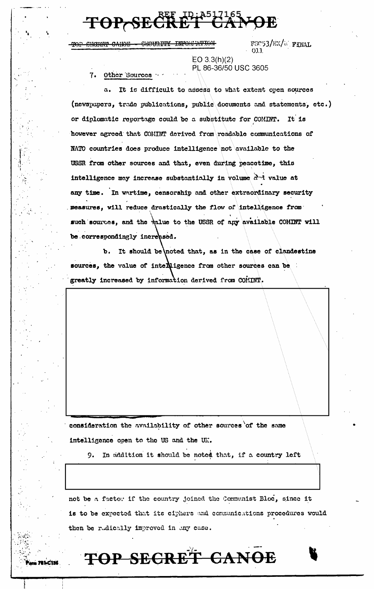# TOP-SECRET CAP

TOP ENGRNIC CANON - SECURITY INFORMATION

FSC53/EX/W FINAL 011

 $EO 3.3(h)(2)$ PL 86-36/50 USC 3605

7. Other Sources

a. It is difficult to assess to what extent open sources (newspapers, trade publications, public documents and statements, etc.) or diplomatic reportage could be a substitute for COMINT. It is however agreed that COMINT derived from readable communications of NATO countries does produce intelligence not available to the USSR from other sources and that, even during peacetime, this intelligence may increase substantially in volume and value at any time. In wartime, censorship and other extraordinary security measures, will reduce drastically the flow of intelligence from such sources, and the value to the USSR of any available COMINT will be correspondingly increased.

b. It should be noted that, as in the case of clandestine sources, the value of interligence from other sources can be greatly increased by information derived from COMINT.

consideration the availability of other sources of the same intelligence open to the US and the UK.

In addition it should be noted that, if a country left 9.

not be a factor if the country joined the Communist Bloc, since it is to be expected that its ciphers and communications procedures would then be radically improved in any case.

# TOP SECRET CANOE

**781-C135**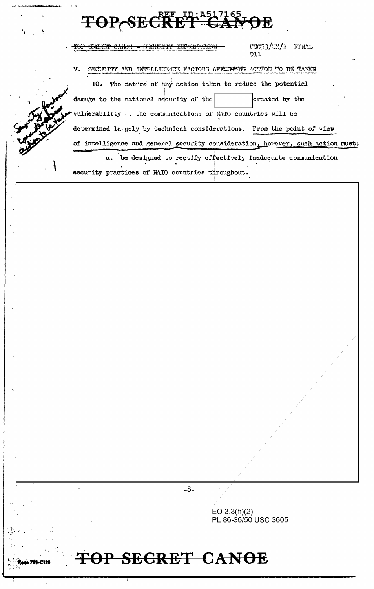# TOP SECRET GALVOE

security practices of NATO countries throughout.

|  | ווייניאים מונונוומנדות בדיימי                                                  | FSC53/EX/R FINAL<br>011 |  |  |  |
|--|--------------------------------------------------------------------------------|-------------------------|--|--|--|
|  | v.<br>SECURITY AND INTELLIGENCE FACTORS AFFICIPING ACTION TO BE TAKEN          |                         |  |  |  |
|  | The nature of any action taken to reduce the potential<br>10.                  |                         |  |  |  |
|  | damage to the national security of the                                         | created by the          |  |  |  |
|  | vulnerability the communications of NATO countries will be                     |                         |  |  |  |
|  | determined largely by technical considerations. From the point of view         |                         |  |  |  |
|  | of intolligence and general security consideration, however, such action must: |                         |  |  |  |
|  | be designed to rectify effectively inadequate communication<br>а.              |                         |  |  |  |

 $-8-$ 

EO 3.3(h)(2)<br>PL 86-36/50 USC 3605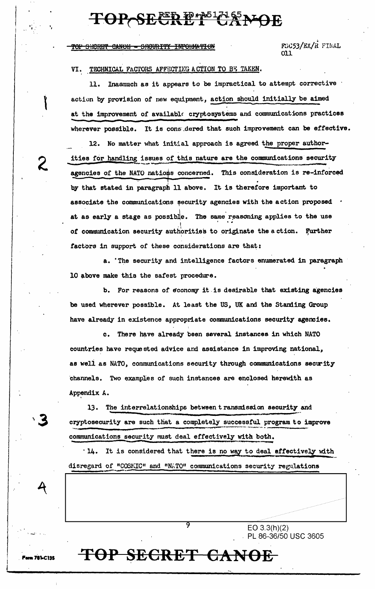CANOE - SECURITY INFORMATION

FSC53/EX/R FINAL ו וח

#### VI. TECHNICAL FACTORS AFFECTING A CTION TO BE TAKEN.

Inasmuch as it appears to be impractical to attempt corrective . 11. action by provision of new equipment, action should initially be aimed at the improvement of available cryptosystems and communications practices wherever possible. It is considered that such improvement can be effective.

12. No matter what initial approach is agreed the proper authorities for handling issues of this nature are the communications security agencies of the NATO nations concerned. This consideration is re-inforced by that stated in paragraph 11 above. It is therefore important to associate the communications security agencies with the action proposed . at as early a stage as possible. The same reasoning applies to the use of communication security authorities to originate the action. Further factors in support of these considerations are that:

a. The security and intelligence factors enumerated in paragraph 10 above make this the safest procedure.

b. For reasons of economy it is desirable that existing agencies be used wherever possible. At least the US, UK and the Standing Group have already in existence appropriate communications security agencies.

c. There have already been several instances in which NATO countries have requested advice and assistance in improving national, as well as NATO, communications security through communications security channels. Two examples of such instances are enclosed herewith as Appendix A.

The interrelationships between transmission security and 13. cryptosecurity are such that a completely successful program to improve communications security must deal effectively with both.

3

'14. It is considered that there is no way to deal effectively with disregard of "COSMIC" and "NATO" communications security regulations

> $EO 3.3(h)(2)$ PL 86-36/50 USC 3605

### TOP SECRET CANOE

9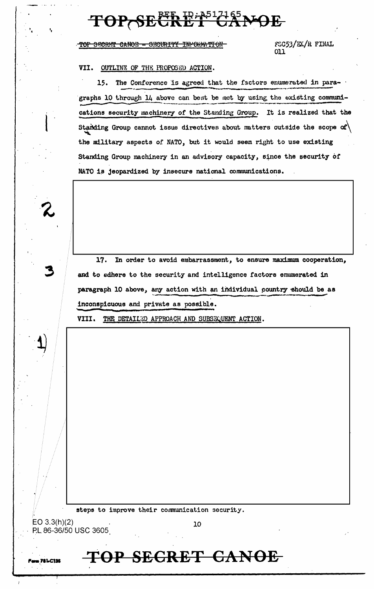#### ET GANOE **TOP SECR**

TOP SECRET CANOE - SECURITY INFORMATION

FSC53/EX/R FINAL  $011$ 

#### VII. OUTLINE OF THE PROPOSED ACTION.

15. The Conference is agreed that the factors enumerated in paragraphs 10 through 14 above can best be met by using the existing communications security machinery of the Standing Group. It is realized that the Standing Group cannot issue directives about matters outside the scope of  $\setminus$ the military aspects of NATO, but it would seem right to use existing Standing Group machinery in an advisory capacity, since the security of NATO is jeopardized by insecure national communications.

17. In order to avoid embarrassment, to ensure maximum cooperation, and to adhere to the security and intelligence factors enumerated in paragraph 10 above, any action with an individual country should be as inconspicuous and private as possible.

VIII. THE DETAILED APPROACH AND SUBSEQUENT ACTION.

steps to improve their communication security.

P.L 86-36/50 USC 3605

EO  $3.3(h)(2)$ 

, 781.C135

10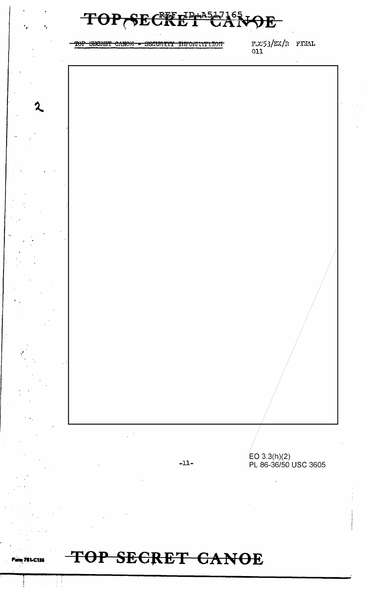| $\mathbf{H}$<br>$\mathbb{R}^6$<br><b>TP</b><br>$\frac{2}{\sqrt{2}}$<br>₩.<br>θE<br>٠, |  |                                         |                                      |  |
|---------------------------------------------------------------------------------------|--|-----------------------------------------|--------------------------------------|--|
|                                                                                       |  | TOP SECRET CANOE - SECURITY INFORMATION | FUC53/EX/R FINAL<br>011              |  |
|                                                                                       |  |                                         |                                      |  |
|                                                                                       |  |                                         |                                      |  |
|                                                                                       |  |                                         |                                      |  |
|                                                                                       |  |                                         |                                      |  |
|                                                                                       |  |                                         |                                      |  |
|                                                                                       |  |                                         |                                      |  |
|                                                                                       |  |                                         |                                      |  |
|                                                                                       |  |                                         |                                      |  |
|                                                                                       |  |                                         |                                      |  |
|                                                                                       |  |                                         |                                      |  |
|                                                                                       |  |                                         |                                      |  |
|                                                                                       |  |                                         |                                      |  |
|                                                                                       |  | $-11-$                                  | EO 3.3(h)(2)<br>PL 86-36/50 USC 3605 |  |
|                                                                                       |  |                                         |                                      |  |
|                                                                                       |  |                                         |                                      |  |
|                                                                                       |  |                                         |                                      |  |

**Partner** 781-C135

 $\mathcal{P}$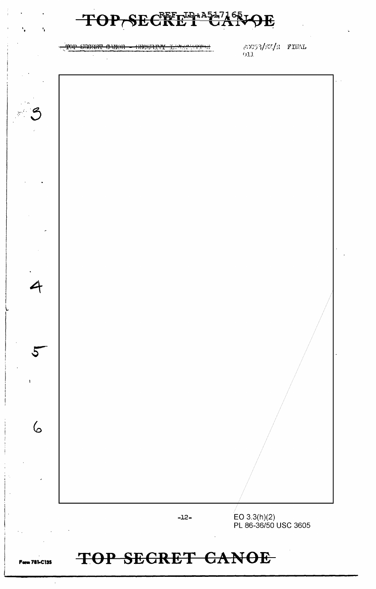<del>TOP SHORET CANOR</del> <del>᠓ᡊᡰᠶᡳᡛ</del>

 $20053/\text{fW}/\text{R}$  FINAL  $011$ 



### TOP SECRET CANOE

n 781-C135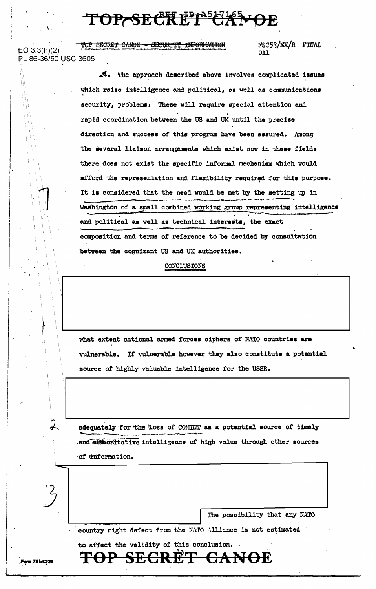TOP SECRET CAMOR

TOP SECRET CANOE - SECURITY INFORMATION

 $EO 3.3(h)(2)$ PL 86-36/50 USC 3605

#### $FSC53/EX/R$  FINAL 011

A. The approach described above involves complicated issues which raise intelligence and political, as well as communications security, problems. These will require special attention and rapid coordination between the US and UK until the precise direction and success of this program have been assured. Among the several liaison arrangements which exist now in these fields there does not exist the specific informal mechanism which would afford the representation and flexibility required for this purpose. It is considered that the need would be met by the setting up in Washington of a small combined working group representing intelligence and political as well as technical interests, the exact composition and terms of reference to be decided by consultation between the cognizant US and UK authorities.

#### CONCLUSIONS

what extent national armed forces ciphers of NATO countries are vulnerable. If vulnerable however they also constitute a potential source of highly valuable intelligence for the USSR.

adequately for the loss of COMINT as a potential source of timely and atthoritative intelligence of high value through other sources of information.

The possibility that any NATO

<del>CANOE</del>

country might defect from the NATO Alliance is not estimated

to affect the validity of this conclusion.

TOP SECRET

 $\lambda$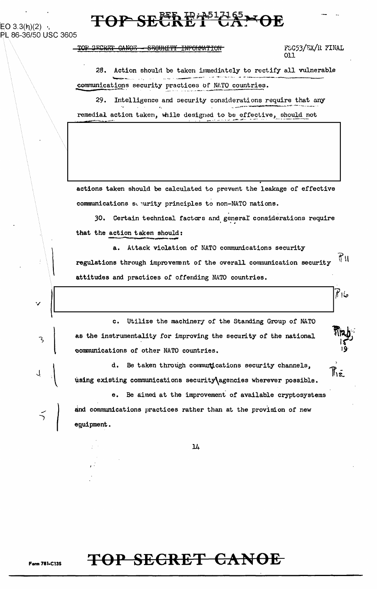### TOP SECRET CAM

EO 3.3(h)(2) ; PL 86-36/50 USC 3605

#### TOP SECRET CANOE - SECURITY INFORMATION

FSC53/EX/R FINAL 011

حاالا

 $\mathbb{R}_{\bar{z}}$ 

28. Action should be taken immediately to rectify all vulnerable communications security practices of NATO countries.

29. Intelligence and security considerations require that any remedial action taken, while designed to be effective, should not

actions taken should be calculated to prevent the leakage of effective communications sepurity principles to non-NATO nations.

30. Certain technical factors and general considerations require that the action taken should:

a. Attack violation of NATO communications security  $\Upsilon_{\rm H}$ regulations through improvement of the overall communication security attitudes and practices of offending NATO countries.

Utilize the machinery of the Standing Group of NATO  $c_{\bullet}$ as the instrumentality for improving the security of the national communications of other NATO countries.

d. Be taken through communications security channels. using existing communications security\agencies wherever possible.

Be aimed at the improvement of available cryptosystems  $\ddot{\mathbf{e}}$ . and communications practices rather than at the provision of new equipment.

 $\overline{\mathbf{1}}$ 

### TOP SECRET CANOE

**Form 781-C13S**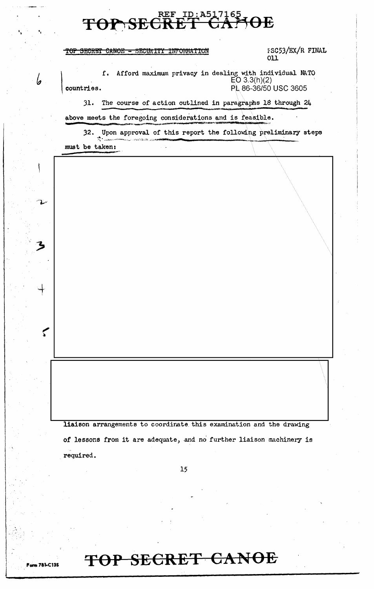#### TOP SECRET CANOE - SECURITY INFORMATION

L

 $\blacktriangledown$ 

**Form 781-C135** 

FSC53/EX/R FINAL 011

**f.** Afford maximum privacy in dealing with individual NATO  $E[O 3.3(h)(2)$ countries. PL 86-36/50 USC 3605

31. The course of action outlined in paragraphs 18 through 24

above meets the foregoing considerations and is feasible.

32. Upon approval of this report the following preliminary steps must be taken:

liaison arrangements to coordinate this examination and the drawing of lessons from it are adequate, and no further liaison machinery is required.

 $15$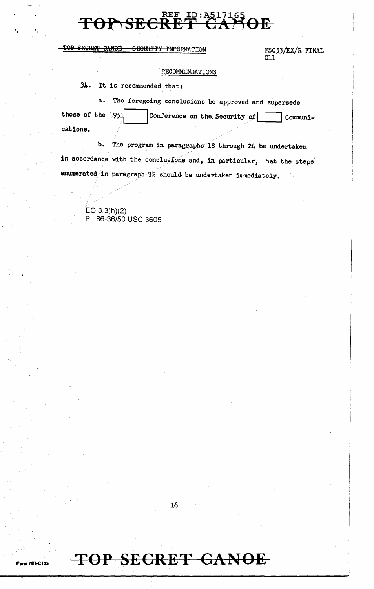#### ID: A517165<br>T CAN  $REE$ **TOP SECRET FOE**

#### TOP SECRET CANOE SEGURITY INFORMATION

FSC53/EX/R FINAL  $011$ 

#### RECOMMENDATIONS

 $34.$  It is recommended that:

The foregoing conclusions be approved and supersede a. those of the 1951 Conference on the Security of Communications.

b. The program in paragraphs 18 through 24 be undertaken in accordance with the conclusions and, in particular, hat the steps enumerated in paragraph  $32$  should be undertaken immediately.

EO  $3.3(h)(2)$ PL 86-36/50 USC 3605

16

### TOP SECRET CANOE

**Parm 781-C135**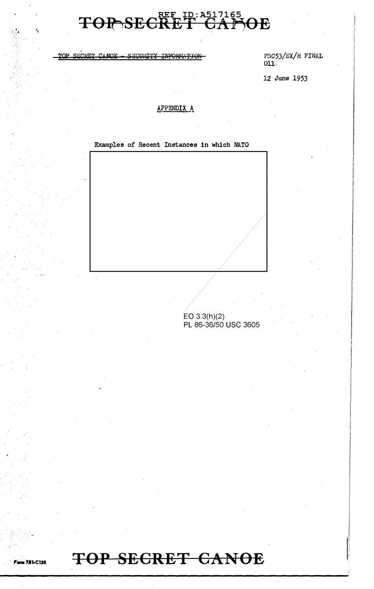TOP SECRET CANOE - SECURITY INFORMATION

FSC53/EX/R FINAL  $011$ .

12 June 1953

#### APPENDIX A

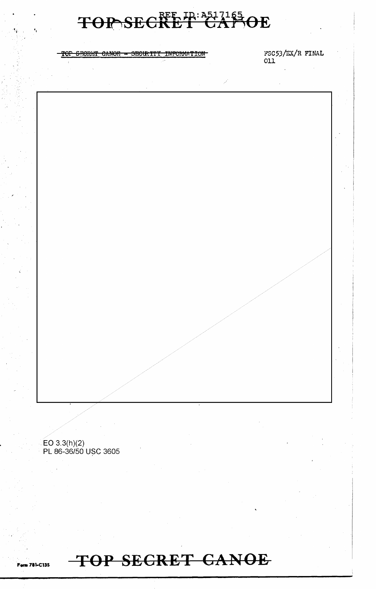

#### SECRET CANOE - SECURITY INFORMATION <del>TOP</del>

 $FSC53/EX/R$  FINAL 011

EO 3.3(h)(2)<br>PL 86-36/50 USC 3605

**Form 781-C135** 

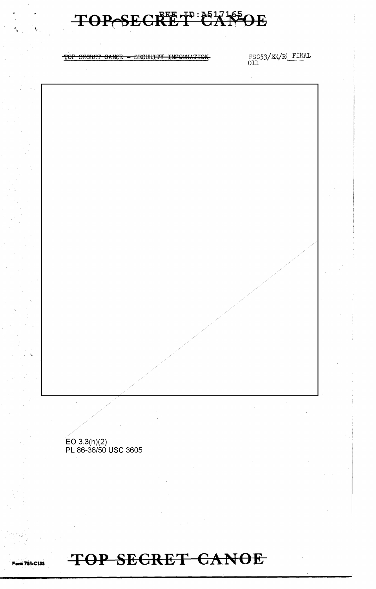

EO 3.3(h)(2)<br>PL 86-36/50 USC 3605

TOP SECRET CANDE

 $\begin{array}{ll} \texttt{FSC53/EX/R}\xspace & \texttt{FIMAL} \\ \texttt{OL1} \end{array}$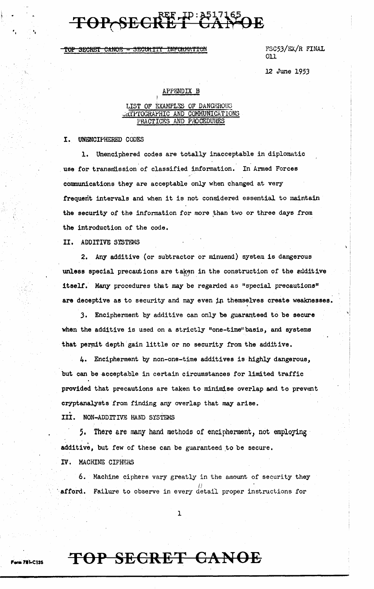#### TOP SECRET CANOE - SECURITY INFORMATION

FSC53/EX./R FINAL 011

> I  $\cdot$  ,

12 June 1953

#### APPENDIX B

I

#### LIST OF EXAMPLES OF DANGEROUS URITPTOGRAPHIC AND COMMUNICATIONS PRACTICES AND PROCEDURES

I. UNENCIPHERED CODES

 $\mathbf{r} = \frac{1}{2}$ 

1. Unenciphered codes are totally inacceptable in diplomatic use for transmission of classified information. In Armed Forces cormnunications they are acceptable only when changed at very frequent intervals and when it is not considered essential to maintain the security of the information for more than two or three days from the introduction or the code.

II, ADDITIVE SYSTEMS

2. Any additive (or subtractor or minuend) system is dangerous unless special precautions are taken in the construction of the edditive itself. Many procedures that may be regarded as "special precautions" are deceptive as to security and may even in themselves create weaknesses.

J, Encipherment by additive can only be guaranteed to be secure when the additive is used on a strictly "one-time" basis, and systems that permit depth gain little or no security from the additive.

4, Encipherment by non-one-time additives is highly dangerous, but can be acceptable in certain circumstances for limited traffic provided that precautions are taken to minimise overlap and to prevent cryptanalysts from finding any overlap that may arise •

. III. NON-ADDrI'IVE HAND SYSTEMS

5. There are many hand methods of encipherment, not employing additive, but few of these can be guaranteed to be secure.

IV. MACHINE CIPHERS

**Form 781-C135** 

6. Machine ciphers vary greatly in the amount of security they afford. Failure to observe in every detail proper instructions for

1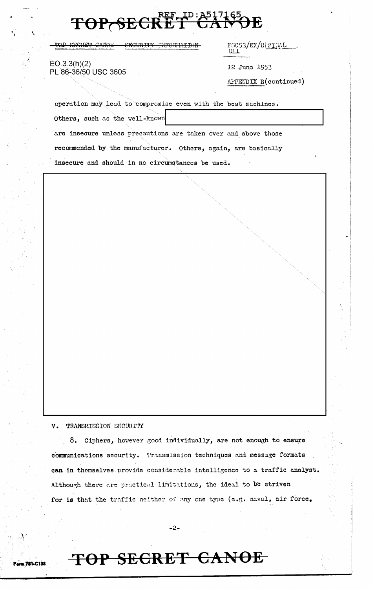TOP SECRET CANOE <del>SECURITY</del>

FSC53/EX/R|<u>FINAL</u> OП

 $EQ.3.3(h)(2)$ PL 86-36/50 USC 3605

12 June 1953

APPENDIX B(continued)

operation may lead to compromise even with the best machines.

Others, such as the well-known

are insecure unless precautions are taken over and above those recommended by the manufacturer. Others, again, are basically insecure and should in no circumstances be used.

V. TRANSMISSION SECURITY

8. Ciphers, however good individually, are not enough to ensure communications security. Transmission techniques and message formats can in themselves provide considerable intelligence to a traffic analyst. Although there are practical limitations, the ideal to be striven for is that the traffic neither of any one type (e.g. naval, air force,

 $-2-$ 

### TOP SECRET CANOE

**... 781.C135**